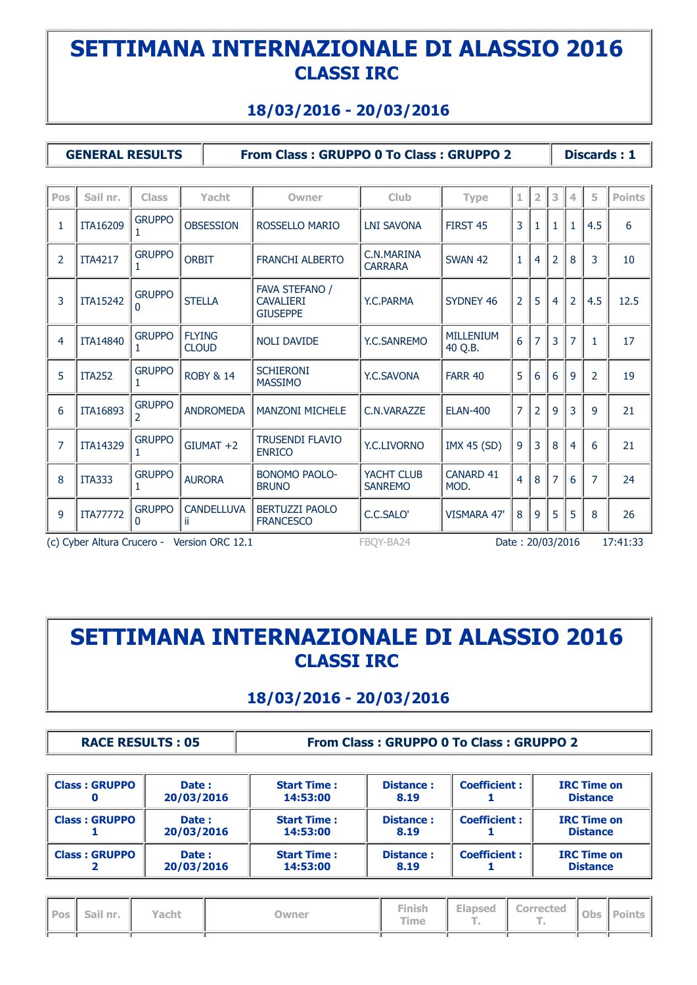#### **18/03/2016 - 20/03/2016**

**GENERAL RESULTS From Class : GRUPPO 0 To Class : GRUPPO 2 Discards : 1**

| Pos            | Sail nr.                   | <b>Class</b>                  | Yacht                         | Owner                                                        | <b>Club</b>                  | <b>Type</b>                 | 1                | 2              | 3              | 4              | 5              | <b>Points</b> |
|----------------|----------------------------|-------------------------------|-------------------------------|--------------------------------------------------------------|------------------------------|-----------------------------|------------------|----------------|----------------|----------------|----------------|---------------|
| $\mathbf{1}$   | ITA16209                   | <b>GRUPPO</b>                 | <b>OBSESSION</b>              | ROSSELLO MARIO                                               | <b>LNI SAVONA</b>            | FIRST 45                    | 3                | 1              |                | $\mathbf{1}$   | 4.5            | 6             |
| $\overline{2}$ | <b>ITA4217</b>             | <b>GRUPPO</b>                 | <b>ORBIT</b>                  | <b>FRANCHI ALBERTO</b>                                       | C.N.MARINA<br><b>CARRARA</b> | <b>SWAN 42</b>              | $\mathbf{1}$     | 4              | 2              | 8              | 3              | 10            |
| 3              | <b>ITA15242</b>            | <b>GRUPPO</b><br><sup>0</sup> | <b>STELLA</b>                 | <b>FAVA STEFANO /</b><br><b>CAVALIERI</b><br><b>GIUSEPPE</b> | Y.C.PARMA                    | SYDNEY 46                   | $\overline{2}$   | 5              | 4              | $\overline{2}$ | 4.5            | 12.5          |
| 4              | <b>ITA14840</b>            | <b>GRUPPO</b>                 | <b>FLYING</b><br><b>CLOUD</b> | <b>NOLI DAVIDE</b>                                           | Y.C.SANREMO                  | <b>MILLENIUM</b><br>40 Q.B. | 6                |                | 3              | 7              | $\mathbf{1}$   | 17            |
| 5              | <b>ITA252</b>              | <b>GRUPPO</b>                 | <b>ROBY &amp; 14</b>          | <b>SCHIERONI</b><br><b>MASSIMO</b>                           | Y.C.SAVONA                   | <b>FARR 40</b>              | 5                | 6              | 6              | 9              | 2              | 19            |
| 6              | ITA16893                   | <b>GRUPPO</b>                 | <b>ANDROMEDA</b>              | <b>MANZONI MICHELE</b>                                       | C.N.VARAZZE                  | <b>ELAN-400</b>             | $\overline{7}$   | $\overline{2}$ | 9              | 3              | 9              | 21            |
| $\overline{7}$ | ITA14329                   | <b>GRUPPO</b>                 | $GIUMAT +2$                   | <b>TRUSENDI FLAVIO</b><br><b>ENRICO</b>                      | <b>Y.C.LIVORNO</b>           | <b>IMX 45 (SD)</b>          | 9                | 3              | 8              | 4              | 6              | 21            |
| 8              | <b>ITA333</b>              | <b>GRUPPO</b>                 | <b>AURORA</b>                 | <b>BONOMO PAOLO-</b><br><b>BRUNO</b>                         | YACHT CLUB<br><b>SANREMO</b> | <b>CANARD 41</b><br>MOD.    | $\overline{4}$   | 8              | $\overline{7}$ | 6              | $\overline{7}$ | 24            |
| 9              | <b>ITA77772</b>            | <b>GRUPPO</b><br>$\Omega$     | <b>CANDELLUVA</b><br>-ii      | <b>BERTUZZI PAOLO</b><br><b>FRANCESCO</b>                    | C.C.SALO'                    | <b>VISMARA 47'</b>          | 8                | 9              | 5              | 5              | 8              | 26            |
|                | (c) Cyber Altura Crucero - |                               | Version ORC 12.1              |                                                              | FBOY-BA24                    |                             | Date: 20/03/2016 |                |                |                | 17:41:33       |               |

# **SETTIMANA INTERNAZIONALE DI ALASSIO 2016 CLASSI IRC**

#### **18/03/2016 - 20/03/2016**

**RACE RESULTS : 05 From Class : GRUPPO 0 To Class : GRUPPO 2**

| <b>Class: GRUPPO</b> | Date:<br>20/03/2016 | <b>Start Time:</b><br>14:53:00 | <b>Distance:</b><br>8.19 | <b>Coefficient:</b> | <b>IRC Time on</b><br><b>Distance</b> |
|----------------------|---------------------|--------------------------------|--------------------------|---------------------|---------------------------------------|
| <b>Class: GRUPPO</b> | Date:<br>20/03/2016 | <b>Start Time:</b><br>14:53:00 | <b>Distance:</b><br>8.19 | <b>Coefficient:</b> | <b>IRC Time on</b><br><b>Distance</b> |
| <b>Class: GRUPPO</b> | Date:<br>20/03/2016 | <b>Start Time:</b><br>14:53:00 | <b>Distance:</b><br>8.19 | <b>Coefficient:</b> | <b>IRC Time on</b><br><b>Distance</b> |

| Pos   Sail nr. | Yacht | )wner | Finish<br><b>Time</b> | Elapsed | <b>Corrected</b> | Obs   Points |
|----------------|-------|-------|-----------------------|---------|------------------|--------------|
|                |       |       |                       |         |                  |              |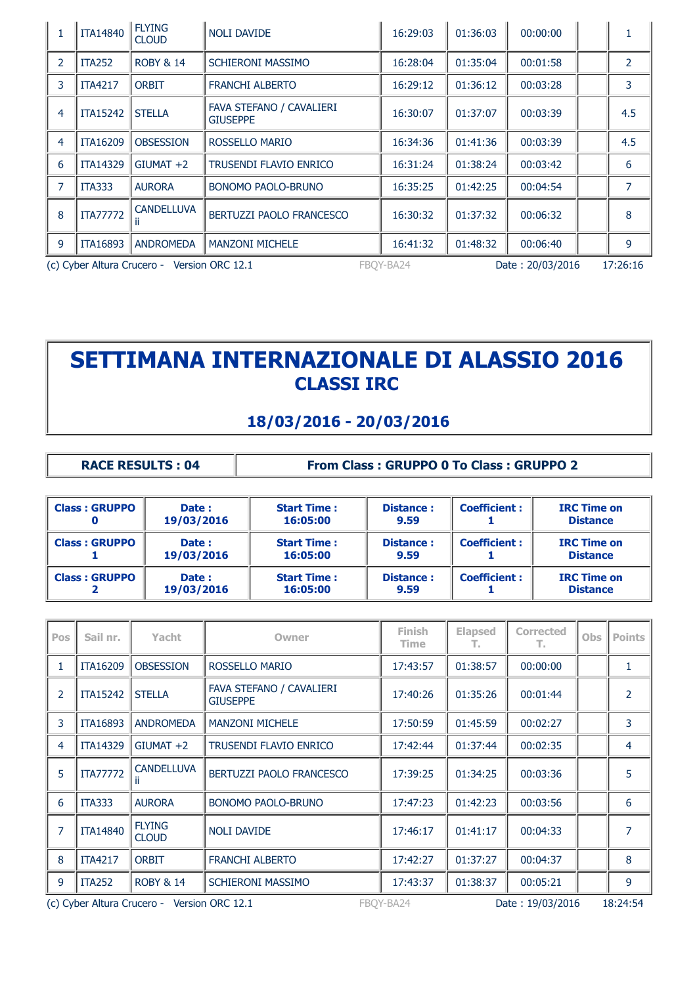| 1                                                                            | <b>ITA14840</b> | <b>FLYING</b><br><b>CLOUD</b> | <b>NOLI DAVIDE</b>                          | 16:29:03 | 01:36:03 | 00:00:00 |  | 1              |
|------------------------------------------------------------------------------|-----------------|-------------------------------|---------------------------------------------|----------|----------|----------|--|----------------|
| 2                                                                            | <b>ITA252</b>   | <b>ROBY &amp; 14</b>          | <b>SCHIERONI MASSIMO</b>                    | 16:28:04 | 01:35:04 | 00:01:58 |  | $\overline{2}$ |
| 3                                                                            | <b>ITA4217</b>  | <b>ORBIT</b>                  | <b>FRANCHI ALBERTO</b>                      | 16:29:12 | 01:36:12 | 00:03:28 |  | 3              |
| 4                                                                            | <b>ITA15242</b> | <b>STELLA</b>                 | FAVA STEFANO / CAVALIERI<br><b>GIUSEPPE</b> | 16:30:07 | 01:37:07 | 00:03:39 |  | 4.5            |
| 4                                                                            | <b>ITA16209</b> | <b>OBSESSION</b>              | ROSSELLO MARIO                              | 16:34:36 | 01:41:36 | 00:03:39 |  | 4.5            |
| 6                                                                            | <b>ITA14329</b> | $GIUMAT +2$                   | <b>TRUSENDI FLAVIO ENRICO</b>               | 16:31:24 | 01:38:24 | 00:03:42 |  | 6              |
| 7                                                                            | ITA333          | <b>AURORA</b>                 | BONOMO PAOLO-BRUNO                          | 16:35:25 | 01:42:25 | 00:04:54 |  | $\overline{7}$ |
| 8                                                                            | <b>ITA77772</b> | <b>CANDELLUVA</b>             | BERTUZZI PAOLO FRANCESCO                    | 16:30:32 | 01:37:32 | 00:06:32 |  | 8              |
| 9                                                                            | <b>ITA16893</b> | <b>ANDROMEDA</b>              | <b>MANZONI MICHELE</b>                      | 16:41:32 | 01:48:32 | 00:06:40 |  | 9              |
| (c) Cyber Altura Crucero - Version ORC 12.1<br>FBOY-BA24<br>Date: 20/03/2016 |                 |                               |                                             |          |          |          |  | 17:26:16       |

#### **18/03/2016 - 20/03/2016**

| <b>RACE RESULTS: 04</b> |
|-------------------------|
|-------------------------|

**From Class : GRUPPO 0 To Class : GRUPPO 2** 

| <b>Class: GRUPPO</b> | Date:<br>19/03/2016 | <b>Start Time:</b><br>16:05:00 | <b>Distance:</b><br>9.59 | <b>Coefficient:</b> | <b>IRC Time on</b><br><b>Distance</b> |
|----------------------|---------------------|--------------------------------|--------------------------|---------------------|---------------------------------------|
| <b>Class: GRUPPO</b> | Date:<br>19/03/2016 | <b>Start Time:</b><br>16:05:00 | <b>Distance:</b><br>9.59 | <b>Coefficient:</b> | <b>IRC Time on</b><br><b>Distance</b> |
| <b>Class: GRUPPO</b> | Date:<br>19/03/2016 | <b>Start Time:</b><br>16:05:00 | <b>Distance:</b><br>9.59 | <b>Coefficient:</b> | <b>IRC Time on</b><br><b>Distance</b> |

| Pos            | Sail nr.        | Yacht                                       | Owner                                       | <b>Finish</b><br><b>Time</b> | <b>Elapsed</b><br>т. | <b>Corrected</b><br>т. | <b>Obs</b> | <b>Points</b>  |
|----------------|-----------------|---------------------------------------------|---------------------------------------------|------------------------------|----------------------|------------------------|------------|----------------|
| 1              | <b>ITA16209</b> | <b>OBSESSION</b>                            | ROSSELLO MARIO                              | 17:43:57                     | 01:38:57             | 00:00:00               |            | 1              |
| 2              | <b>ITA15242</b> | <b>STELLA</b>                               | FAVA STEFANO / CAVALIERI<br><b>GIUSEPPE</b> | 17:40:26                     | 01:35:26             | 00:01:44               |            | $\overline{2}$ |
| 3              | <b>ITA16893</b> | <b>ANDROMEDA</b>                            | <b>MANZONI MICHELE</b>                      | 17:50:59                     | 01:45:59             | 00:02:27               |            | 3              |
| 4              | <b>ITA14329</b> | $GIUMAT +2$                                 | <b>TRUSENDI FLAVIO ENRICO</b>               | 17:42:44                     | 01:37:44             | 00:02:35               |            | 4              |
| 5              | <b>ITA77772</b> | <b>CANDELLUVA</b>                           | BERTUZZI PAOLO FRANCESCO                    | 17:39:25                     | 01:34:25             | 00:03:36               |            | 5              |
| 6              | <b>ITA333</b>   | <b>AURORA</b>                               | <b>BONOMO PAOLO-BRUNO</b>                   | 17:47:23                     | 01:42:23             | 00:03:56               |            | 6              |
| $\overline{7}$ | <b>ITA14840</b> | <b>FLYING</b><br><b>CLOUD</b>               | <b>NOLI DAVIDE</b>                          | 17:46:17                     | 01:41:17             | 00:04:33               |            | $\overline{7}$ |
| 8              | <b>ITA4217</b>  | <b>ORBIT</b>                                | <b>FRANCHI ALBERTO</b>                      | 17:42:27                     | 01:37:27             | 00:04:37               |            | 8              |
| 9              | <b>ITA252</b>   | <b>ROBY &amp; 14</b>                        | <b>SCHIERONI MASSIMO</b>                    | 17:43:37                     | 01:38:37             | 00:05:21               |            | 9              |
|                |                 | (c) Cyber Altura Crucero - Version ORC 12.1 |                                             | FBOY-BA24                    |                      | Date: 19/03/2016       |            | 18:24:54       |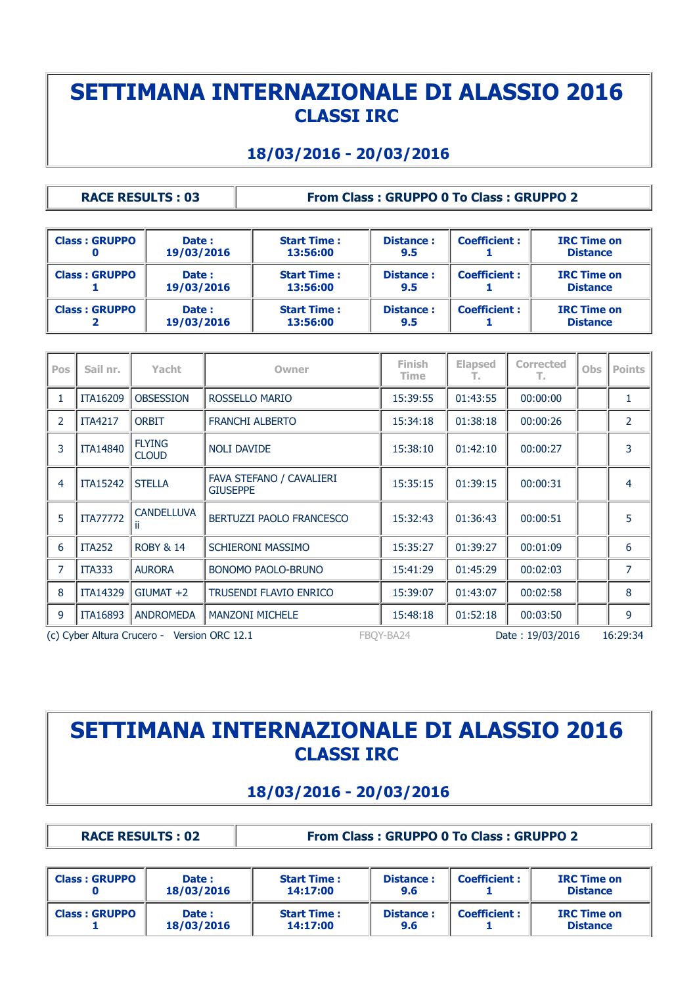#### **18/03/2016 - 20/03/2016**

**RACE RESULTS : 03 From Class : GRUPPO 0 To Class : GRUPPO 2**

| <b>Class: GRUPPO</b> | Date:<br>19/03/2016 | <b>Start Time:</b><br>13:56:00 | <b>Distance:</b><br>9.5 | <b>Coefficient:</b> | <b>IRC Time on</b><br><b>Distance</b> |
|----------------------|---------------------|--------------------------------|-------------------------|---------------------|---------------------------------------|
| <b>Class: GRUPPO</b> | Date:<br>19/03/2016 | <b>Start Time:</b><br>13:56:00 | <b>Distance:</b><br>9.5 | <b>Coefficient:</b> | <b>IRC Time on</b><br><b>Distance</b> |
| <b>Class: GRUPPO</b> | Date:<br>19/03/2016 | <b>Start Time:</b><br>13:56:00 | <b>Distance:</b><br>9.5 | <b>Coefficient:</b> | <b>IRC Time on</b><br><b>Distance</b> |

| Pos            | Sail nr.        | Yacht                                       | Owner                                       | <b>Finish</b><br><b>Time</b> | <b>Elapsed</b><br>т. | <b>Corrected</b><br>т. | <b>Obs</b> | <b>Points</b>  |
|----------------|-----------------|---------------------------------------------|---------------------------------------------|------------------------------|----------------------|------------------------|------------|----------------|
| 1              | <b>ITA16209</b> | <b>OBSESSION</b>                            | ROSSELLO MARIO                              | 15:39:55                     | 01:43:55             | 00:00:00               |            | 1              |
| $\mathcal{P}$  | <b>ITA4217</b>  | <b>ORBIT</b>                                | <b>FRANCHI ALBERTO</b>                      | 15:34:18                     | 01:38:18             | 00:00:26               |            | $\overline{2}$ |
| 3              | <b>ITA14840</b> | <b>FLYING</b><br><b>CLOUD</b>               | <b>NOLI DAVIDE</b>                          | 15:38:10                     | 01:42:10             | 00:00:27               |            | 3              |
| 4              | <b>ITA15242</b> | <b>STELLA</b>                               | FAVA STEFANO / CAVALIERI<br><b>GIUSEPPE</b> | 15:35:15                     | 01:39:15             | 00:00:31               |            | 4              |
| 5              | <b>ITA77772</b> | <b>CANDELLUVA</b><br>Ш                      | BERTUZZI PAOLO FRANCESCO                    | 15:32:43                     | 01:36:43             | 00:00:51               |            | 5              |
| 6              | <b>ITA252</b>   | <b>ROBY &amp; 14</b>                        | <b>SCHIERONI MASSIMO</b>                    | 15:35:27                     | 01:39:27             | 00:01:09               |            | 6              |
| $\overline{7}$ | <b>ITA333</b>   | <b>AURORA</b>                               | <b>BONOMO PAOLO-BRUNO</b>                   | 15:41:29                     | 01:45:29             | 00:02:03               |            | 7              |
| 8              | <b>ITA14329</b> | $GIUMAT +2$                                 | <b>TRUSENDI FLAVIO ENRICO</b>               | 15:39:07                     | 01:43:07             | 00:02:58               |            | 8              |
| 9              | <b>ITA16893</b> | <b>ANDROMEDA</b>                            | <b>MANZONI MICHELE</b>                      | 15:48:18                     | 01:52:18             | 00:03:50               |            | 9              |
|                |                 | (c) Cyber Altura Crucero - Version ORC 12.1 |                                             | FBOY-BA24                    |                      | Date: 19/03/2016       |            | 16:29:34       |

## **SETTIMANA INTERNAZIONALE DI ALASSIO 2016 CLASSI IRC**

### **18/03/2016 - 20/03/2016**

**RACE RESULTS : 02 From Class : GRUPPO 0 To Class : GRUPPO 2**

| <b>Class: GRUPPO</b> | Date:<br>18/03/2016 | <b>Start Time:</b><br>14:17:00 | <b>Distance:</b><br>9.6 | <b>Coefficient:</b> | <b>IRC Time on</b><br><b>Distance</b> |
|----------------------|---------------------|--------------------------------|-------------------------|---------------------|---------------------------------------|
| <b>Class: GRUPPO</b> | Date:<br>18/03/2016 | <b>Start Time:</b><br>14:17:00 | <b>Distance:</b><br>9.6 | <b>Coefficient:</b> | <b>IRC Time on</b><br><b>Distance</b> |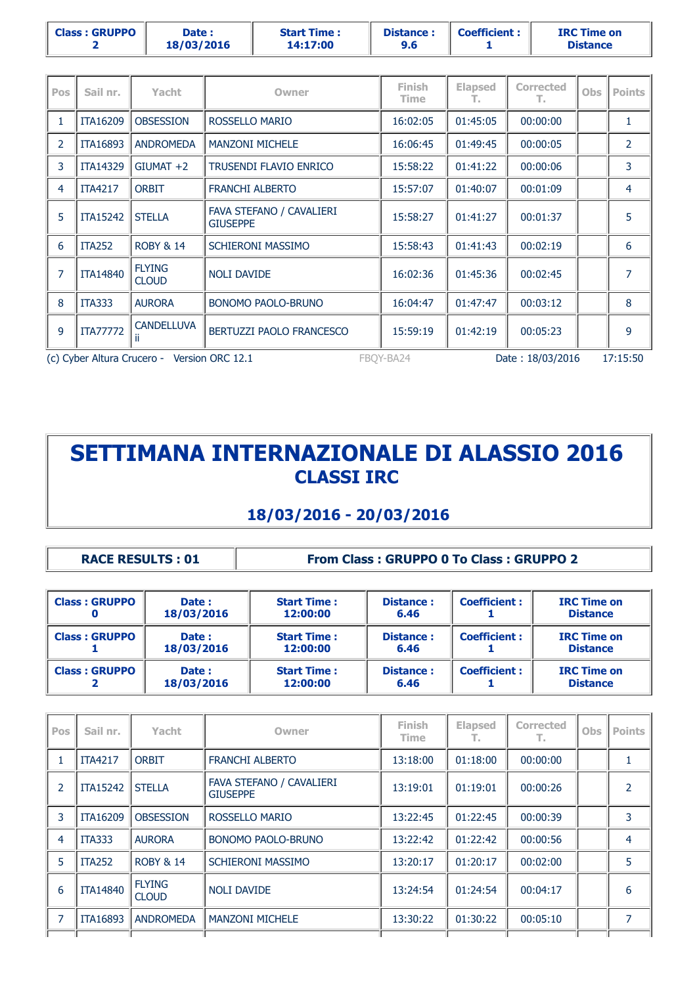|  | <b>Class: GRUPPO</b> | <b>Date :</b><br>18/03/2016 | <b>Start Time:</b><br>14:17:00 | <b>Distance:</b><br>9.6 | <b>Coefficient:</b> | <b>IRC Time on</b><br><b>Distance</b> |
|--|----------------------|-----------------------------|--------------------------------|-------------------------|---------------------|---------------------------------------|
|--|----------------------|-----------------------------|--------------------------------|-------------------------|---------------------|---------------------------------------|

| <b>Pos</b>     | Sail nr.        | Yacht                                       | <b>Owner</b>                                | <b>Finish</b><br>Time | <b>Elapsed</b><br>т. | <b>Corrected</b><br>т. | <b>Obs</b> | <b>Points</b>  |
|----------------|-----------------|---------------------------------------------|---------------------------------------------|-----------------------|----------------------|------------------------|------------|----------------|
| 1              | <b>ITA16209</b> | <b>OBSESSION</b>                            | ROSSELLO MARIO                              | 16:02:05              | 01:45:05             | 00:00:00               |            | 1              |
| $\overline{2}$ | <b>ITA16893</b> | <b>ANDROMEDA</b>                            | <b>MANZONI MICHELE</b>                      | 16:06:45              | 01:49:45             | 00:00:05               |            | 2              |
| 3              | <b>ITA14329</b> | $GIUMAT +2$                                 | <b>TRUSENDI FLAVIO ENRICO</b>               | 15:58:22              | 01:41:22             | 00:00:06               |            | 3              |
| $\overline{4}$ | <b>ITA4217</b>  | <b>ORBIT</b>                                | <b>FRANCHI ALBERTO</b>                      | 15:57:07              | 01:40:07             | 00:01:09               |            | 4              |
| 5              | <b>ITA15242</b> | <b>STELLA</b>                               | FAVA STEFANO / CAVALIERI<br><b>GIUSEPPE</b> | 15:58:27              | 01:41:27             | 00:01:37               |            | 5              |
| 6              | <b>ITA252</b>   | <b>ROBY &amp; 14</b>                        | <b>SCHIERONI MASSIMO</b>                    | 15:58:43              | 01:41:43             | 00:02:19               |            | 6              |
| $\overline{7}$ | <b>ITA14840</b> | <b>FLYING</b><br><b>CLOUD</b>               | <b>NOLI DAVIDE</b>                          | 16:02:36              | 01:45:36             | 00:02:45               |            | $\overline{7}$ |
| 8              | <b>ITA333</b>   | <b>AURORA</b>                               | <b>BONOMO PAOLO-BRUNO</b>                   | 16:04:47              | 01:47:47             | 00:03:12               |            | 8              |
| 9              | <b>ITA77772</b> | <b>CANDELLUVA</b>                           | BERTUZZI PAOLO FRANCESCO                    | 15:59:19              | 01:42:19             | 00:05:23               |            | 9              |
|                |                 | (c) Cyber Altura Crucero - Version ORC 12.1 |                                             | FBOY-BA24             |                      | Date: 18/03/2016       |            | 17:15:50       |

### **18/03/2016 - 20/03/2016**

| <b>RACE RESULTS: 01</b> |  |  |  |  |  |  |  |  |
|-------------------------|--|--|--|--|--|--|--|--|
|-------------------------|--|--|--|--|--|--|--|--|

#### **RACE RESULTS : 01 From Class : GRUPPO 0 To Class : GRUPPO 2**

| <b>Class: GRUPPO</b> | Date:<br>18/03/2016 | <b>Start Time:</b><br>12:00:00 | <b>Distance:</b><br>6.46 | <b>Coefficient:</b> | <b>IRC Time on</b><br><b>Distance</b> |
|----------------------|---------------------|--------------------------------|--------------------------|---------------------|---------------------------------------|
| <b>Class: GRUPPO</b> | Date:<br>18/03/2016 | <b>Start Time:</b><br>12:00:00 | <b>Distance:</b><br>6.46 | <b>Coefficient:</b> | <b>IRC Time on</b><br><b>Distance</b> |
| <b>Class: GRUPPO</b> | Date:<br>18/03/2016 | <b>Start Time:</b><br>12:00:00 | <b>Distance:</b><br>6.46 | <b>Coefficient:</b> | <b>IRC Time on</b><br><b>Distance</b> |

| Pos | Sail nr.        | Yacht                         | Owner                                       | Finish<br>Time | <b>Elapsed</b><br>т. | <b>Corrected</b><br>т. | Obs | <b>Points</b> |
|-----|-----------------|-------------------------------|---------------------------------------------|----------------|----------------------|------------------------|-----|---------------|
|     | <b>ITA4217</b>  | <b>ORBIT</b>                  | <b>FRANCHI ALBERTO</b>                      | 13:18:00       | 01:18:00             | 00:00:00               |     |               |
| 2   | <b>ITA15242</b> | <b>STELLA</b>                 | FAVA STEFANO / CAVALIERI<br><b>GIUSEPPE</b> | 13:19:01       | 01:19:01             | 00:00:26               |     | 2             |
| 3   | <b>ITA16209</b> | <b>OBSESSION</b>              | ROSSELLO MARIO                              | 13:22:45       | 01:22:45             | 00:00:39               |     | 3             |
| 4   | <b>ITA333</b>   | <b>AURORA</b>                 | <b>BONOMO PAOLO-BRUNO</b>                   | 13:22:42       | 01:22:42             | 00:00:56               |     | 4             |
| 5   | <b>ITA252</b>   | <b>ROBY &amp; 14</b>          | <b>SCHIERONI MASSIMO</b>                    | 13:20:17       | 01:20:17             | 00:02:00               |     | 5             |
| 6   | <b>ITA14840</b> | <b>FLYING</b><br><b>CLOUD</b> | <b>NOLI DAVIDE</b>                          | 13:24:54       | 01:24:54             | 00:04:17               |     | 6             |
| 7   | <b>ITA16893</b> | <b>ANDROMEDA</b>              | <b>MANZONI MICHELE</b>                      | 13:30:22       | 01:30:22             | 00:05:10               |     | 7             |
|     |                 |                               |                                             |                |                      |                        |     |               |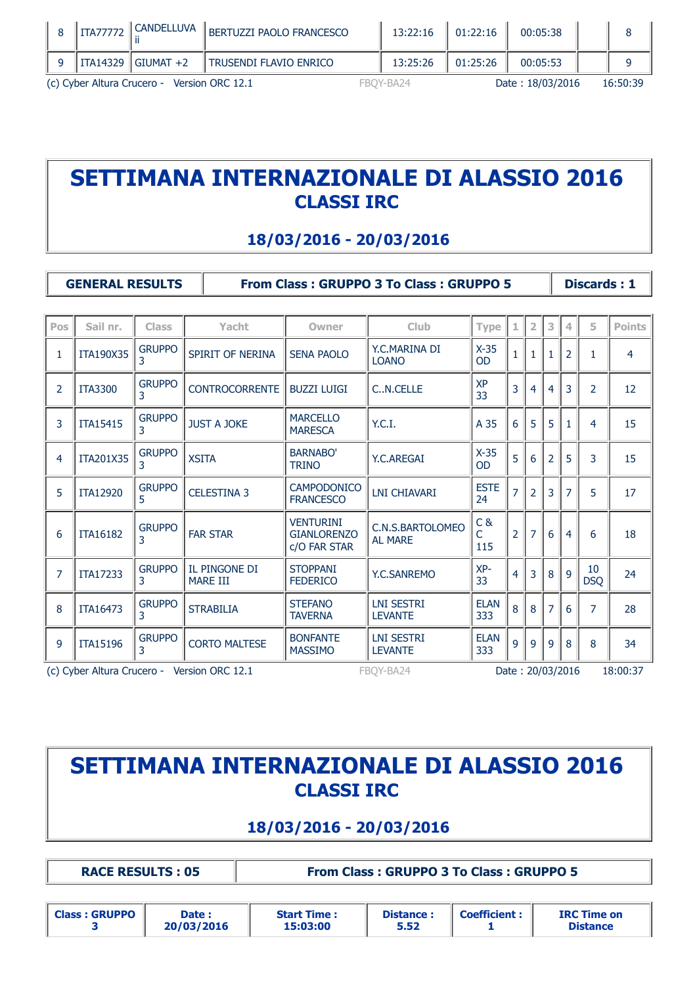| (c) Cyber Altura Crucero - Version ORC 12.1 |                       |                          |  | FBOY-BA24 |          | Date: 18/03/2016 | 16:50:39 |
|---------------------------------------------|-----------------------|--------------------------|--|-----------|----------|------------------|----------|
|                                             | ITA14329    GIUMAT +2 | i Trusendi flavio enrico |  | 13:25:26  | 01:25:26 | 00:05:53         |          |
| <b>ITA77772</b>                             | l CANDELLUVA          | BERTUZZI PAOLO FRANCESCO |  | 13:22:16  | 01:22:16 | 00:05:38         |          |

#### **18/03/2016 - 20/03/2016**

**GENERAL RESULTS From Class : GRUPPO 3 To Class : GRUPPO 5 Discards : 1**

| Pos            | Sail nr.        | <b>Class</b>       | Yacht                            | Owner                                                  | Club                                | <b>Type</b>         |                | $\overline{2}$ | 3              | 4              | 5                | <b>Points</b> |
|----------------|-----------------|--------------------|----------------------------------|--------------------------------------------------------|-------------------------------------|---------------------|----------------|----------------|----------------|----------------|------------------|---------------|
| 1              | ITA190X35       | <b>GRUPPO</b><br>3 | SPIRIT OF NERINA                 | <b>SENA PAOLO</b>                                      | Y.C.MARINA DI<br><b>LOANO</b>       | $X-35$<br><b>OD</b> | $\mathbf{1}$   |                | $\mathbf{1}$   | $\overline{2}$ | 1                | 4             |
| 2              | <b>ITA3300</b>  | <b>GRUPPO</b><br>3 | <b>CONTROCORRENTE</b>            | <b>BUZZI LUIGI</b>                                     | CN.CELLE                            | <b>XP</b><br>33     | 3              | 4              | 4              | 3              | 2                | 12            |
| 3              | <b>ITA15415</b> | <b>GRUPPO</b>      | <b>JUST A JOKE</b>               | <b>MARCELLO</b><br><b>MARESCA</b>                      | Y.C.I.                              | A 35                | 6              | 5              | 5              |                | 4                | 15            |
| 4              | ITA201X35       | <b>GRUPPO</b><br>3 | <b>XSITA</b>                     | <b>BARNABO'</b><br><b>TRINO</b>                        | <b>Y.C.AREGAI</b>                   | $X-35$<br>OD        | 5              | 6              | $\overline{2}$ | 5              | 3                | 15            |
| 5              | <b>ITA12920</b> | <b>GRUPPO</b><br>5 | <b>CELESTINA 3</b>               | <b>CAMPODONICO</b><br><b>FRANCESCO</b>                 | LNI CHIAVARI                        | <b>ESTE</b><br>24   | $\overline{7}$ | $\overline{2}$ | 3              | 7              | 5                | 17            |
| 6              | <b>ITA16182</b> | <b>GRUPPO</b><br>3 | <b>FAR STAR</b>                  | <b>VENTURINI</b><br><b>GIANLORENZO</b><br>c/O FAR STAR | C.N.S.BARTOLOMEO<br><b>AL MARE</b>  | C &<br>C<br>115     | 2              | 7              | 6              | 4              | 6                | 18            |
| $\overline{7}$ | <b>ITA17233</b> | <b>GRUPPO</b><br>3 | IL PINGONE DI<br><b>MARE III</b> | <b>STOPPANI</b><br><b>FEDERICO</b>                     | <b>Y.C.SANREMO</b>                  | XP-<br>33           | 4              | 3              | 8              | 9              | 10<br><b>DSQ</b> | 24            |
| 8              | <b>ITA16473</b> | <b>GRUPPO</b><br>3 | <b>STRABILIA</b>                 | <b>STEFANO</b><br><b>TAVERNA</b>                       | <b>LNI SESTRI</b><br><b>LEVANTE</b> | <b>ELAN</b><br>333  | 8              | 8              | $\overline{7}$ | 6              | $\overline{7}$   | 28            |
| 9              | <b>ITA15196</b> | <b>GRUPPO</b><br>3 | <b>CORTO MALTESE</b>             | <b>BONFANTE</b><br><b>MASSIMO</b>                      | <b>LNI SESTRI</b><br><b>LEVANTE</b> | <b>ELAN</b><br>333  | 9              | 9              | 9              | 8              | 8                | 34            |

(c) Cyber Altura Crucero - Version ORC 12.1 FBQY-BA24 Date : 20/03/2016 18:00:37

### **SETTIMANA INTERNAZIONALE DI ALASSIO 2016 CLASSI IRC**

### **18/03/2016 - 20/03/2016**

**RACE RESULTS : 05 From Class : GRUPPO 3 To Class : GRUPPO 5**

| <b>Class: GRUPPO</b> | Date :<br>20/03/2016 | <b>Start Time:</b><br>15:03:00 | <b>Distance:</b><br>5.52 | <b>Coefficient:</b> | <b>IRC Time on</b><br><b>Distance</b> |
|----------------------|----------------------|--------------------------------|--------------------------|---------------------|---------------------------------------|
|----------------------|----------------------|--------------------------------|--------------------------|---------------------|---------------------------------------|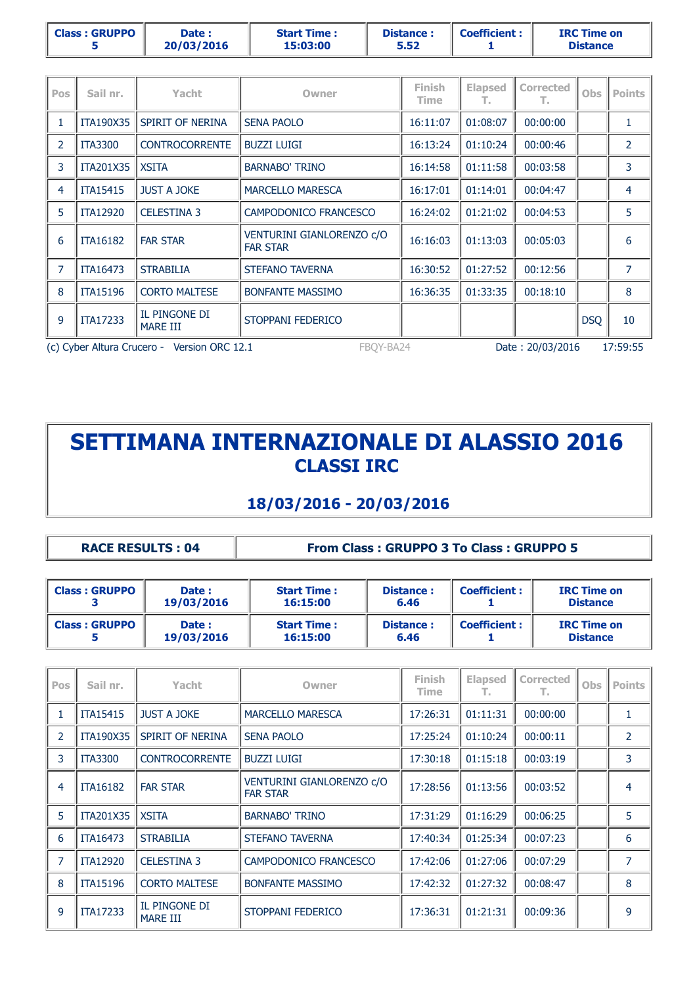|                | <b>Class: GRUPPO</b><br>5 | Date:<br>20/03/2016        | <b>Start Time:</b><br>15:03:00 | Distance:<br>5.52            | <b>Coefficient:</b> |           |            | <b>IRC Time on</b><br><b>Distance</b> |  |  |
|----------------|---------------------------|----------------------------|--------------------------------|------------------------------|---------------------|-----------|------------|---------------------------------------|--|--|
|                |                           |                            |                                |                              |                     |           |            |                                       |  |  |
| Pos            | Sail nr.                  | Yacht                      | Owner                          | <b>Finish</b><br><b>Time</b> | <b>Elapsed</b>      | Corrected | <b>Obs</b> | <b>Points</b>                         |  |  |
|                |                           | ITA190X35 SPIRIT OF NERINA | <b>SENA PAOLO</b>              | 16:11:07                     | 01:08:07            | 00:00:00  |            |                                       |  |  |
| $\overline{2}$ | <b>ITA3300</b>            | <b>CONTROCORRENTE</b>      | <b>BUZZI LUIGI</b>             | 16:13:24                     | 01:10:24            | 00:00:46  |            |                                       |  |  |
| 3              | ITA201X35 XSITA           |                            | <b>BARNABO' TRINO</b>          | 16:14:58                     | 01:11:58            | 00:03:58  |            | 3                                     |  |  |
| $\lambda$      | <b>TTA1E41E</b>           | THET A JOVE                | MADCELLO MADECCA               | 16.17.01                     | 01.14.01            | 00.04.47  |            |                                       |  |  |

|                                                          | <b>ITA15415</b> | JUST A JOKE               | MARCELLO MARESCA                             | 16:17:01 | 01:14:01 | 00:04:47         |            | 4        |
|----------------------------------------------------------|-----------------|---------------------------|----------------------------------------------|----------|----------|------------------|------------|----------|
|                                                          | <b>ITA12920</b> | <b>CELESTINA 3</b>        | CAMPODONICO FRANCESCO                        | 16:24:02 | 01:21:02 | 00:04:53         |            |          |
| 6                                                        | <b>ITA16182</b> | <b>FAR STAR</b>           | VENTURINI GIANLORENZO c/O<br><b>FAR STAR</b> | 16:16:03 | 01:13:03 | 00:05:03         |            | 6        |
|                                                          | <b>ITA16473</b> | <b>STRABILIA</b>          | <b>STEFANO TAVERNA</b>                       | 16:30:52 | 01:27:52 | 00:12:56         |            |          |
| 8                                                        | <b>ITA15196</b> | <b>CORTO MALTESE</b>      | <b>BONFANTE MASSIMO</b>                      | 16:36:35 | 01:33:35 | 00:18:10         |            | 8        |
| 9                                                        | ITA17233        | IL PINGONE DI<br>MARE III | STOPPANI FEDERICO                            |          |          |                  | <b>DSQ</b> | 10       |
| (c) Cyber Altura Crucero - Version ORC 12.1<br>FBOY-BA24 |                 |                           |                                              |          |          | Date: 20/03/2016 |            | 17:59:55 |

#### **18/03/2016 - 20/03/2016**

**RACE RESULTS : 04 From Class : GRUPPO 3 To Class : GRUPPO 5**

| <b>Class: GRUPPO</b> | Date:<br>19/03/2016 | <b>Start Time:</b><br>Distance:<br>16:15:00<br>6.46 |                   | <b>Coefficient:</b> | <b>IRC Time on</b><br><b>Distance</b> |
|----------------------|---------------------|-----------------------------------------------------|-------------------|---------------------|---------------------------------------|
| <b>Class: GRUPPO</b> | Date:<br>19/03/2016 | <b>Start Time:</b><br>16:15:00                      | Distance:<br>6.46 | <b>Coefficient:</b> | <b>IRC Time on</b><br><b>Distance</b> |

| Pos            | Sail nr.        | Yacht                            | Owner                                        | <b>Finish</b><br>Time | <b>Elapsed</b><br>т. | <b>Corrected</b><br>т. | <b>Obs</b> | <b>Points</b>  |
|----------------|-----------------|----------------------------------|----------------------------------------------|-----------------------|----------------------|------------------------|------------|----------------|
|                | <b>ITA15415</b> | <b>JUST A JOKE</b>               | <b>MARCELLO MARESCA</b>                      | 17:26:31              | 01:11:31             | 00:00:00               |            | $\mathbf{1}$   |
| $\mathcal{P}$  | ITA190X35       | SPIRIT OF NERINA                 | <b>SENA PAOLO</b>                            | 17:25:24              | 01:10:24             | 00:00:11               |            | $\overline{2}$ |
| 3              | <b>ITA3300</b>  | <b>CONTROCORRENTE</b>            | <b>BUZZI LUIGI</b>                           | 17:30:18              | 01:15:18             | 00:03:19               |            | 3              |
| 4              | <b>ITA16182</b> | <b>FAR STAR</b>                  | VENTURINI GIANLORENZO c/O<br><b>FAR STAR</b> | 17:28:56              | 01:13:56             | 00:03:52               |            | 4              |
| 5              | ITA201X35       | <b>XSITA</b>                     | <b>BARNABO' TRINO</b>                        | 17:31:29              | 01:16:29             | 00:06:25               |            | 5              |
| 6              | <b>ITA16473</b> | <b>STRABILIA</b>                 | <b>STEFANO TAVERNA</b>                       | 17:40:34              | 01:25:34             | 00:07:23               |            | 6              |
| $\overline{7}$ | <b>ITA12920</b> | <b>CELESTINA 3</b>               | CAMPODONICO FRANCESCO                        | 17:42:06              | 01:27:06             | 00:07:29               |            | $\overline{7}$ |
| 8              | <b>ITA15196</b> | <b>CORTO MALTESE</b>             | <b>BONFANTE MASSIMO</b>                      | 17:42:32              | 01:27:32             | 00:08:47               |            | 8              |
| 9              | <b>ITA17233</b> | IL PINGONE DI<br><b>MARE III</b> | STOPPANI FEDERICO                            | 17:36:31              | 01:21:31             | 00:09:36               |            | 9              |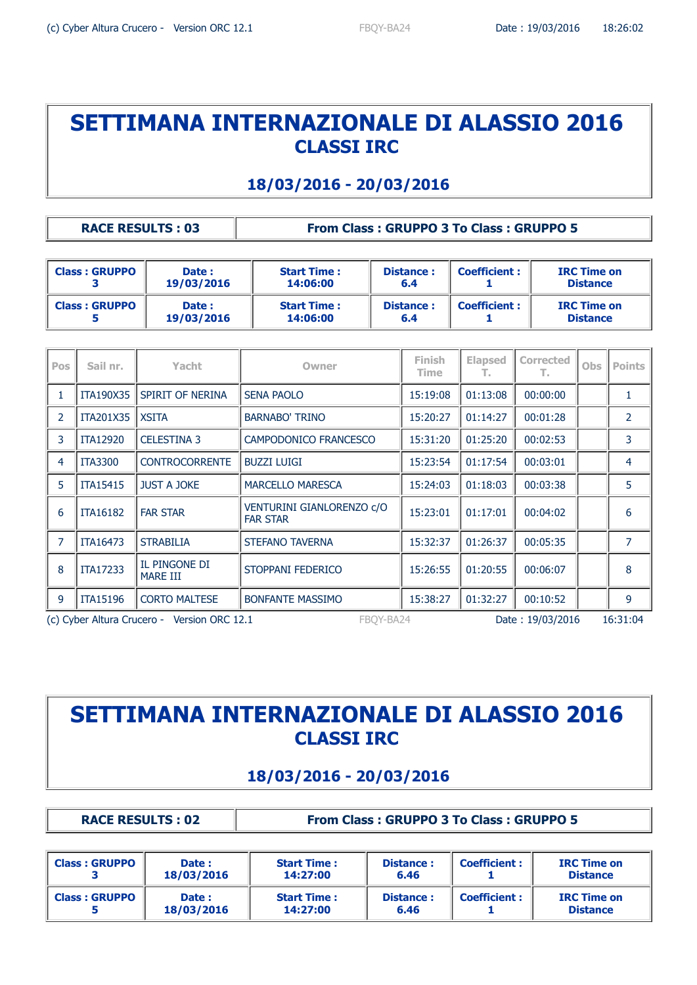#### **18/03/2016 - 20/03/2016**

#### **RACE RESULTS : 03 From Class : GRUPPO 3 To Class : GRUPPO 5**

| <b>Class: GRUPPO</b> | Date:<br>19/03/2016 | <b>Start Time:</b><br>14:06:00 | Distance:<br>6.4 | <b>Coefficient:</b> | <b>IRC Time on</b><br><b>Distance</b> |
|----------------------|---------------------|--------------------------------|------------------|---------------------|---------------------------------------|
| <b>Class: GRUPPO</b> | Date:<br>19/03/2016 | <b>Start Time:</b><br>14:06:00 | Distance:<br>6.4 | <b>Coefficient:</b> | <b>IRC Time on</b><br><b>Distance</b> |

| <b>Pos</b>                                               | Sail nr.        | Yacht                            | Owner                                        | <b>Finish</b><br>Time | <b>Elapsed</b><br>т. | <b>Corrected</b><br>т. | <b>Obs</b> | <b>Points</b>  |
|----------------------------------------------------------|-----------------|----------------------------------|----------------------------------------------|-----------------------|----------------------|------------------------|------------|----------------|
| $\mathbf{1}$                                             | ITA190X35       | SPIRIT OF NERINA                 | <b>SENA PAOLO</b>                            | 15:19:08              | 01:13:08             | 00:00:00               |            | $\mathbf{1}$   |
| 2                                                        | ITA201X35       | <b>XSITA</b>                     | <b>BARNABO' TRINO</b>                        | 15:20:27              | 01:14:27             | 00:01:28               |            | $\overline{2}$ |
| 3                                                        | <b>ITA12920</b> | <b>CELESTINA 3</b>               | CAMPODONICO FRANCESCO                        | 15:31:20              | 01:25:20             | 00:02:53               |            | $\overline{3}$ |
| 4                                                        | <b>ITA3300</b>  | <b>CONTROCORRENTE</b>            | <b>BUZZI LUIGI</b>                           | 15:23:54              | 01:17:54             | 00:03:01               |            | 4              |
| 5                                                        | <b>ITA15415</b> | <b>JUST A JOKE</b>               | <b>MARCELLO MARESCA</b>                      | 15:24:03              | 01:18:03             | 00:03:38               |            | 5              |
| 6                                                        | <b>ITA16182</b> | <b>FAR STAR</b>                  | VENTURINI GIANLORENZO c/O<br><b>FAR STAR</b> | 15:23:01              | 01:17:01             | 00:04:02               |            | 6              |
| $\overline{7}$                                           | ITA16473        | <b>STRABILIA</b>                 | STEFANO TAVERNA                              | 15:32:37              | 01:26:37             | 00:05:35               |            | 7              |
| 8                                                        | <b>ITA17233</b> | IL PINGONE DI<br><b>MARE III</b> | STOPPANI FEDERICO                            | 15:26:55              | 01:20:55             | 00:06:07               |            | 8              |
| 9                                                        | <b>ITA15196</b> | <b>CORTO MALTESE</b>             | <b>BONFANTE MASSIMO</b>                      | 15:38:27              | 01:32:27             | 00:10:52               |            | 9              |
| (c) Cyber Altura Crucero - Version ORC 12.1<br>FBOY-BA24 |                 |                                  |                                              |                       |                      | Date: 19/03/2016       |            | 16:31:04       |

# **SETTIMANA INTERNAZIONALE DI ALASSIO 2016 CLASSI IRC**

#### **18/03/2016 - 20/03/2016**

**RACE RESULTS : 02 From Class : GRUPPO 3 To Class : GRUPPO 5**

| <b>Class: GRUPPO</b> | Date:<br>18/03/2016 | <b>Start Time:</b><br>14:27:00 | Distance:<br>6.46 | <b>Coefficient:</b> | <b>IRC Time on</b><br><b>Distance</b> |
|----------------------|---------------------|--------------------------------|-------------------|---------------------|---------------------------------------|
| <b>Class: GRUPPO</b> | Date:<br>18/03/2016 | <b>Start Time:</b><br>14:27:00 | Distance:<br>6.46 | <b>Coefficient:</b> | <b>IRC Time on</b><br><b>Distance</b> |